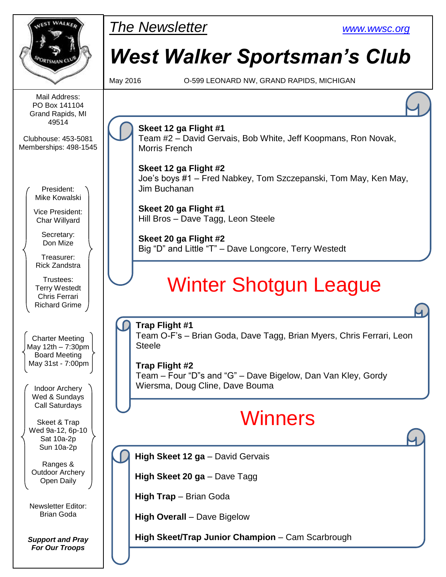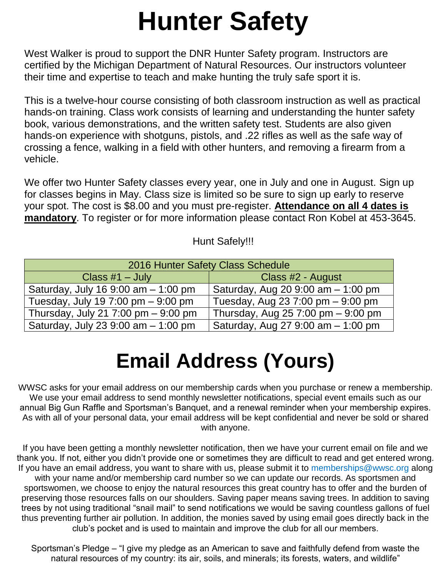# **Hunter Safety**

West Walker is proud to support the DNR Hunter Safety program. Instructors are certified by the Michigan Department of Natural Resources. Our instructors volunteer their time and expertise to teach and make hunting the truly safe sport it is.

This is a twelve-hour course consisting of both classroom instruction as well as practical hands-on training. Class work consists of learning and understanding the hunter safety book, various demonstrations, and the written safety test. Students are also given hands-on experience with shotguns, pistols, and .22 rifles as well as the safe way of crossing a fence, walking in a field with other hunters, and removing a firearm from a vehicle.

We offer two Hunter Safety classes every year, one in July and one in August. Sign up for classes begins in May. Class size is limited so be sure to sign up early to reserve your spot. The cost is \$8.00 and you must pre-register. **Attendance on all 4 dates is mandatory**. To register or for more information please contact Ron Kobel at 453-3645.

### Hunt Safely!!!

| 2016 Hunter Safety Class Schedule      |                                    |  |  |  |  |
|----------------------------------------|------------------------------------|--|--|--|--|
| Class $#1$ – July                      | Class #2 - August                  |  |  |  |  |
| Saturday, July 16 9:00 am $-$ 1:00 pm  | Saturday, Aug 20 9:00 am - 1:00 pm |  |  |  |  |
| Tuesday, July 19 7:00 pm $-$ 9:00 pm   | Tuesday, Aug 23 7:00 pm - 9:00 pm  |  |  |  |  |
| Thursday, July 21 7:00 pm $-$ 9:00 pm  | Thursday, Aug 25 7:00 pm - 9:00 pm |  |  |  |  |
| Saturday, July 23 $9:00$ am $-1:00$ pm | Saturday, Aug 27 9:00 am - 1:00 pm |  |  |  |  |

## **Email Address (Yours)**

WWSC asks for your email address on our membership cards when you purchase or renew a membership. We use your email address to send monthly newsletter notifications, special event emails such as our annual Big Gun Raffle and Sportsman's Banquet, and a renewal reminder when your membership expires. As with all of your personal data, your email address will be kept confidential and never be sold or shared with anyone.

If you have been getting a monthly newsletter notification, then we have your current email on file and we thank you. If not, either you didn't provide one or sometimes they are difficult to read and get entered wrong. If you have an email address, you want to share with us, please submit it to memberships@wwsc.org along with your name and/or membership card number so we can update our records. As sportsmen and sportswomen, we choose to enjoy the natural resources this great country has to offer and the burden of preserving those resources falls on our shoulders. Saving paper means saving trees. In addition to saving trees by not using traditional "snail mail" to send notifications we would be saving countless gallons of fuel thus preventing further air pollution. In addition, the monies saved by using email goes directly back in the club's pocket and is used to maintain and improve the club for all our members.

Sportsman's Pledge – "I give my pledge as an American to save and faithfully defend from waste the natural resources of my country: its air, soils, and minerals; its forests, waters, and wildlife"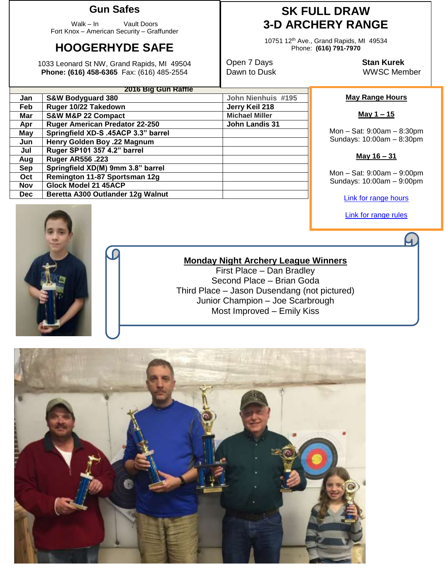#### **Gun Safes**

Walk – In Vault Doors Fort Knox – American Security – Graffunder

## **HOOGERHYDE SAFE**

1033 Leonard St NW, Grand Rapids, MI 49504 **Phone: (616) 458-6365** Fax: (616) 485-2554

## **SK FULL DRAW 3-D ARCHERY RANGE**

10751 12th Ave., Grand Rapids, MI 49534 Phone: **(616) 791-7970**

Open 7 Days **Stan Kurek**

Dawn to Dusk WWSC Member

#### **May Range Hours**

**May 1 – 15**

Mon – Sat: 9:00am – 8:30pm Sundays: 10:00am – 8:30pm

#### **May 16 – 31**

Mon – Sat: 9:00am – 9:00pm Sundays: 10:00am – 9:00pm

[Link for range hours](http://www.wwsc.org/range-hours.shtml)

[Link for range rules](http://www.wwsc.org/img/ranges/RangeRules.pdf)



#### **Monday Night Archery League Winners**

First Place – Dan Bradley Second Place – Brian Goda Third Place – Jason Dusendang (not pictured) Junior Champion – Joe Scarbrough Most Improved – Emily Kiss